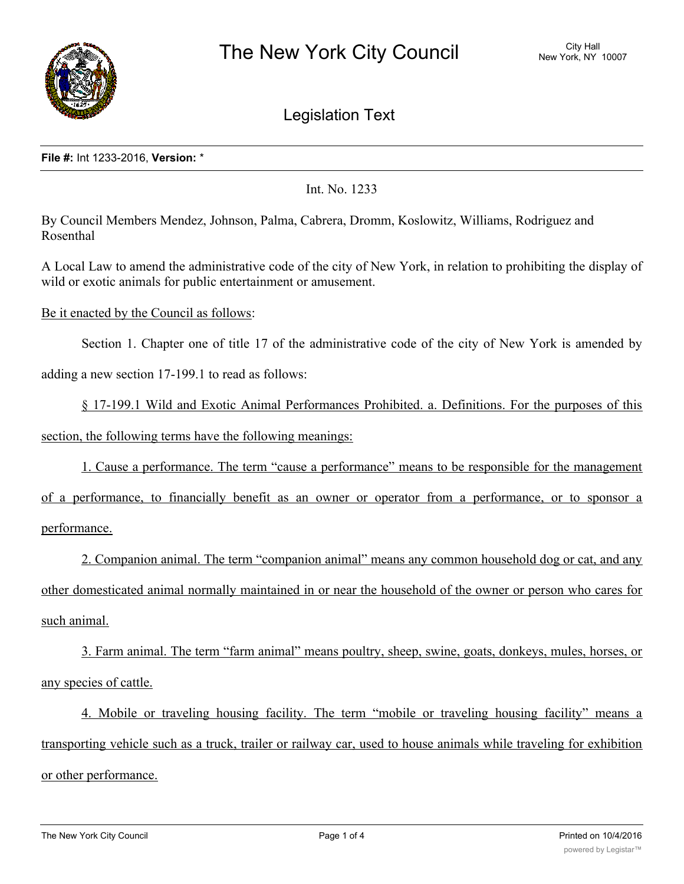

Legislation Text

## **File #:** Int 1233-2016, **Version:** \*

Int. No. 1233

By Council Members Mendez, Johnson, Palma, Cabrera, Dromm, Koslowitz, Williams, Rodriguez and Rosenthal

A Local Law to amend the administrative code of the city of New York, in relation to prohibiting the display of wild or exotic animals for public entertainment or amusement.

Be it enacted by the Council as follows:

Section 1. Chapter one of title 17 of the administrative code of the city of New York is amended by adding a new section 17-199.1 to read as follows:

§ 17-199.1 Wild and Exotic Animal Performances Prohibited. a. Definitions. For the purposes of this section, the following terms have the following meanings:

1. Cause a performance. The term "cause a performance" means to be responsible for the management

of a performance, to financially benefit as an owner or operator from a performance, or to sponsor a performance.

2. Companion animal. The term "companion animal" means any common household dog or cat, and any other domesticated animal normally maintained in or near the household of the owner or person who cares for such animal.

3. Farm animal. The term "farm animal" means poultry, sheep, swine, goats, donkeys, mules, horses, or any species of cattle.

4. Mobile or traveling housing facility. The term "mobile or traveling housing facility" means a transporting vehicle such as a truck, trailer or railway car, used to house animals while traveling for exhibition or other performance.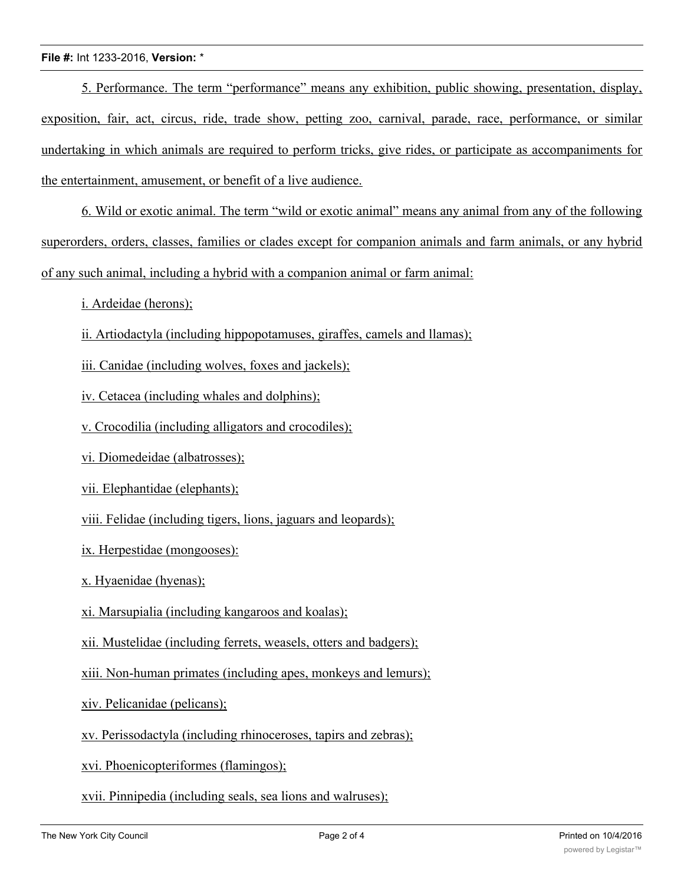## **File #:** Int 1233-2016, **Version:** \*

5. Performance. The term "performance" means any exhibition, public showing, presentation, display, exposition, fair, act, circus, ride, trade show, petting zoo, carnival, parade, race, performance, or similar undertaking in which animals are required to perform tricks, give rides, or participate as accompaniments for the entertainment, amusement, or benefit of a live audience.

6. Wild or exotic animal. The term "wild or exotic animal" means any animal from any of the following superorders, orders, classes, families or clades except for companion animals and farm animals, or any hybrid of any such animal, including a hybrid with a companion animal or farm animal:

i. Ardeidae (herons);

ii. Artiodactyla (including hippopotamuses, giraffes, camels and llamas);

iii. Canidae (including wolves, foxes and jackels);

iv. Cetacea (including whales and dolphins);

v. Crocodilia (including alligators and crocodiles);

vi. Diomedeidae (albatrosses);

vii. Elephantidae (elephants);

viii. Felidae (including tigers, lions, jaguars and leopards);

ix. Herpestidae (mongooses):

x. Hyaenidae (hyenas);

xi. Marsupialia (including kangaroos and koalas);

xii. Mustelidae (including ferrets, weasels, otters and badgers);

xiii. Non-human primates (including apes, monkeys and lemurs);

xiv. Pelicanidae (pelicans);

xv. Perissodactyla (including rhinoceroses, tapirs and zebras);

xvi. Phoenicopteriformes (flamingos);

xvii. Pinnipedia (including seals, sea lions and walruses);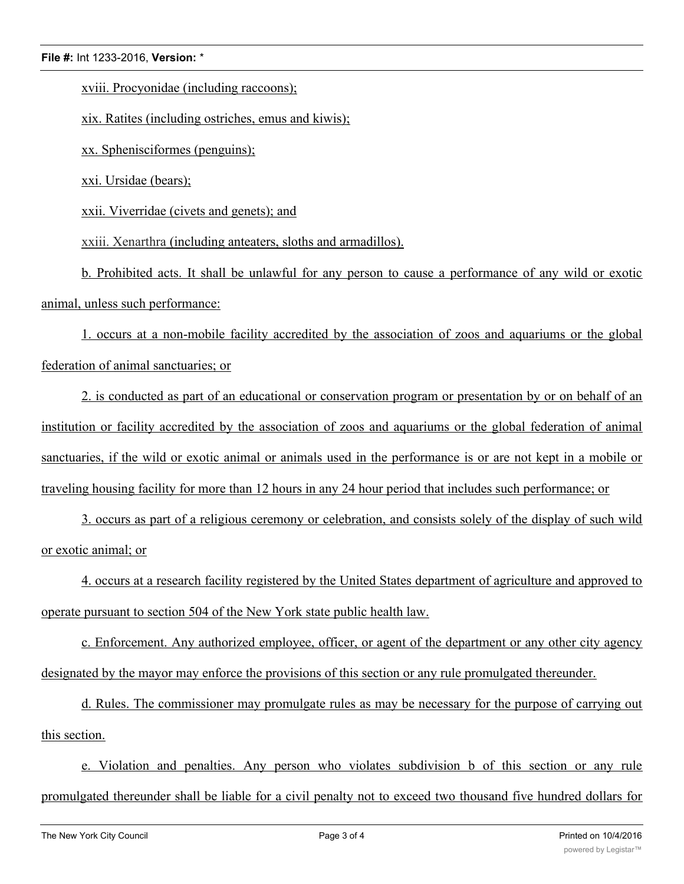## **File #:** Int 1233-2016, **Version:** \*

xviii. Procyonidae (including raccoons);

xix. Ratites (including ostriches, emus and kiwis);

xx. Sphenisciformes (penguins);

xxi. Ursidae (bears);

xxii. Viverridae (civets and genets); and

xxiii. Xenarthra (including anteaters, sloths and armadillos).

b. Prohibited acts. It shall be unlawful for any person to cause a performance of any wild or exotic animal, unless such performance:

1. occurs at a non-mobile facility accredited by the association of zoos and aquariums or the global federation of animal sanctuaries; or

2. is conducted as part of an educational or conservation program or presentation by or on behalf of an institution or facility accredited by the association of zoos and aquariums or the global federation of animal sanctuaries, if the wild or exotic animal or animals used in the performance is or are not kept in a mobile or traveling housing facility for more than 12 hours in any 24 hour period that includes such performance; or

3. occurs as part of a religious ceremony or celebration, and consists solely of the display of such wild or exotic animal; or

4. occurs at a research facility registered by the United States department of agriculture and approved to operate pursuant to section 504 of the New York state public health law.

c. Enforcement. Any authorized employee, officer, or agent of the department or any other city agency designated by the mayor may enforce the provisions of this section or any rule promulgated thereunder.

d. Rules. The commissioner may promulgate rules as may be necessary for the purpose of carrying out this section.

e. Violation and penalties. Any person who violates subdivision b of this section or any rule promulgated thereunder shall be liable for a civil penalty not to exceed two thousand five hundred dollars for